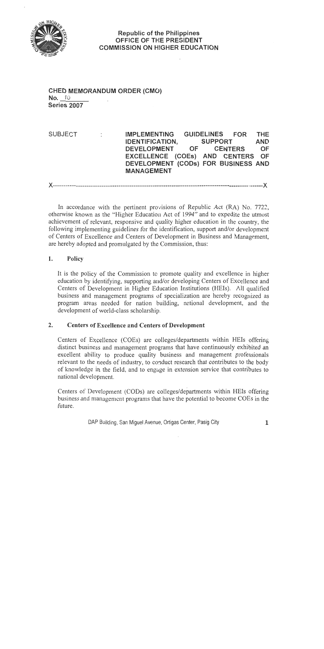

### **CHED MEMORANDUM ORDER (CMO)** No. 10 Series 2007

**FOR SUBJECT**  $\ddot{\Sigma}$ **IMPLEMENTING GUIDELINES THE IDENTIFICATION, SUPPORT AND DEVELOPMENT OF CENTERS** OF EXCELLENCE (COEs) AND CENTERS OF DEVELOPMENT (CODs) FOR BUSINESS AND **MANAGEMENT** 

X---------------------------X

In accordance with the pertinent provisions of Republic Act (RA) No. 7722, otherwise known as the "Higher Education Act of 1994" and to expedite the utmost achievement of relevant, responsive and quality higher education in the country, the following implementing guidelines for the identification, support and/or development of Centers of Excellence and Centers of Development in Business and Management, are hereby adopted and promulgated by the Commission, thus:

#### 1. Policy

It is the policy of the Commission to promote quality and excellence in higher education by identifying, supporting and/or developing Centers of Excellence and Centers of Development in Higher Education Institutions (HEIs). All qualified business and management programs of specialization are hereby recognized as program areas needed for nation building, national development, and the development of world-class scholarship.

#### $2.$ **Centers of Excellence and Centers of Development**

Centers of Excellence (COEs) are colleges/departments within HEIs offering distinct business and management programs that have continuously exhibited an excellent ability to produce quality business and management professionals relevant to the needs of industry, to conduct research that contributes to the body of knowledge in the field, and to engage in extension service that contributes to national development.

Centers of Development (CODs) are colleges/departments within HEIs offering business and management programs that have the potential to become COEs in the future.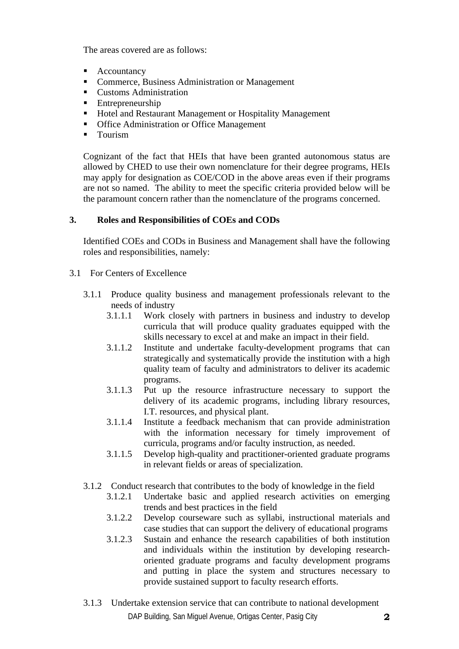The areas covered are as follows:

- Accountancy
- Commerce, Business Administration or Management
- **Customs Administration**
- **Entrepreneurship**
- Hotel and Restaurant Management or Hospitality Management
- Office Administration or Office Management
- **Tourism**

Cognizant of the fact that HEIs that have been granted autonomous status are allowed by CHED to use their own nomenclature for their degree programs, HEIs may apply for designation as COE/COD in the above areas even if their programs are not so named. The ability to meet the specific criteria provided below will be the paramount concern rather than the nomenclature of the programs concerned.

# **3. Roles and Responsibilities of COEs and CODs**

Identified COEs and CODs in Business and Management shall have the following roles and responsibilities, namely:

- 3.1 For Centers of Excellence
	- 3.1.1 Produce quality business and management professionals relevant to the needs of industry
		- 3.1.1.1 Work closely with partners in business and industry to develop curricula that will produce quality graduates equipped with the skills necessary to excel at and make an impact in their field.
		- 3.1.1.2 Institute and undertake faculty-development programs that can strategically and systematically provide the institution with a high quality team of faculty and administrators to deliver its academic programs.
		- 3.1.1.3 Put up the resource infrastructure necessary to support the delivery of its academic programs, including library resources, I.T. resources, and physical plant.
		- 3.1.1.4 Institute a feedback mechanism that can provide administration with the information necessary for timely improvement of curricula, programs and/or faculty instruction, as needed.
		- 3.1.1.5 Develop high-quality and practitioner-oriented graduate programs in relevant fields or areas of specialization.
	- 3.1.2 Conduct research that contributes to the body of knowledge in the field
		- 3.1.2.1 Undertake basic and applied research activities on emerging trends and best practices in the field
		- 3.1.2.2 Develop courseware such as syllabi, instructional materials and case studies that can support the delivery of educational programs
		- 3.1.2.3 Sustain and enhance the research capabilities of both institution and individuals within the institution by developing researchoriented graduate programs and faculty development programs and putting in place the system and structures necessary to provide sustained support to faculty research efforts.
	- DAP Building, San Miguel Avenue, Ortigas Center, Pasig City **2** 3.1.3 Undertake extension service that can contribute to national development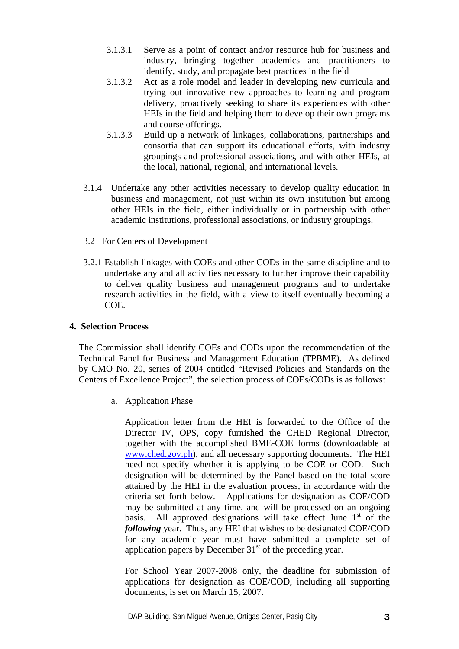- 3.1.3.1 Serve as a point of contact and/or resource hub for business and industry, bringing together academics and practitioners to identify, study, and propagate best practices in the field
- 3.1.3.2 Act as a role model and leader in developing new curricula and trying out innovative new approaches to learning and program delivery, proactively seeking to share its experiences with other HEIs in the field and helping them to develop their own programs and course offerings.
- 3.1.3.3 Build up a network of linkages, collaborations, partnerships and consortia that can support its educational efforts, with industry groupings and professional associations, and with other HEIs, at the local, national, regional, and international levels.
- 3.1.4 Undertake any other activities necessary to develop quality education in business and management, not just within its own institution but among other HEIs in the field, either individually or in partnership with other academic institutions, professional associations, or industry groupings.
- 3.2 For Centers of Development
- 3.2.1 Establish linkages with COEs and other CODs in the same discipline and to undertake any and all activities necessary to further improve their capability to deliver quality business and management programs and to undertake research activities in the field, with a view to itself eventually becoming a COE.

### **4. Selection Process**

The Commission shall identify COEs and CODs upon the recommendation of the Technical Panel for Business and Management Education (TPBME). As defined by CMO No. 20, series of 2004 entitled "Revised Policies and Standards on the Centers of Excellence Project", the selection process of COEs/CODs is as follows:

a. Application Phase

Application letter from the HEI is forwarded to the Office of the Director IV, OPS, copy furnished the CHED Regional Director, together with the accomplished BME-COE forms (downloadable at [www.ched.gov.ph\)](http://www.ched.gov.ph/), and all necessary supporting documents. The HEI need not specify whether it is applying to be COE or COD. Such designation will be determined by the Panel based on the total score attained by the HEI in the evaluation process, in accordance with the criteria set forth below. Applications for designation as COE/COD may be submitted at any time, and will be processed on an ongoing basis. All approved designations will take effect June  $1<sup>st</sup>$  of the *following* year. Thus, any HEI that wishes to be designated COE/COD for any academic year must have submitted a complete set of application papers by December  $31<sup>st</sup>$  of the preceding year.

For School Year 2007-2008 only, the deadline for submission of applications for designation as COE/COD, including all supporting documents, is set on March 15, 2007.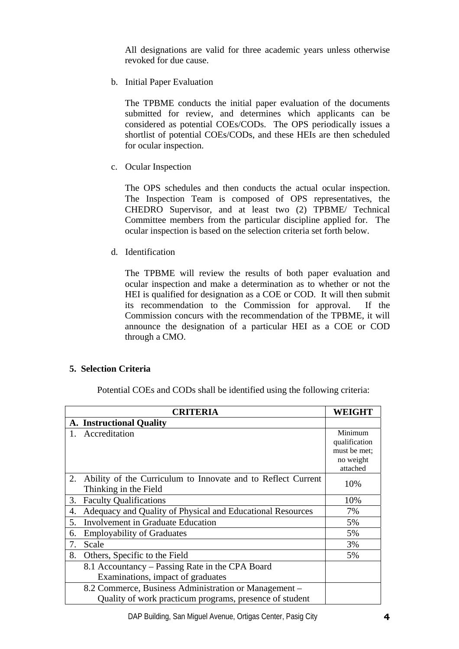All designations are valid for three academic years unless otherwise revoked for due cause.

b. Initial Paper Evaluation

The TPBME conducts the initial paper evaluation of the documents submitted for review, and determines which applicants can be considered as potential COEs/CODs. The OPS periodically issues a shortlist of potential COEs/CODs, and these HEIs are then scheduled for ocular inspection.

c. Ocular Inspection

The OPS schedules and then conducts the actual ocular inspection. The Inspection Team is composed of OPS representatives, the CHEDRO Supervisor, and at least two (2) TPBME/ Technical Committee members from the particular discipline applied for. The ocular inspection is based on the selection criteria set forth below.

d. Identification

The TPBME will review the results of both paper evaluation and ocular inspection and make a determination as to whether or not the HEI is qualified for designation as a COE or COD. It will then submit its recommendation to the Commission for approval. If the Commission concurs with the recommendation of the TPBME, it will announce the designation of a particular HEI as a COE or COD through a CMO.

#### **5. Selection Criteria**

Potential COEs and CODs shall be identified using the following criteria:

|    | <b>CRITERIA</b>                                              | <b>WEIGHT</b> |
|----|--------------------------------------------------------------|---------------|
|    | <b>A.</b> Instructional Quality                              |               |
|    | 1. Accreditation                                             | Minimum       |
|    |                                                              | qualification |
|    |                                                              | must be met:  |
|    |                                                              | no weight     |
|    |                                                              | attached      |
| 2. | Ability of the Curriculum to Innovate and to Reflect Current | 10%           |
|    | Thinking in the Field                                        |               |
| 3. | <b>Faculty Qualifications</b>                                | 10%           |
| 4. | Adequacy and Quality of Physical and Educational Resources   | 7%            |
| 5. | Involvement in Graduate Education                            | 5%            |
| 6. | <b>Employability of Graduates</b>                            | 5%            |
| 7. | Scale                                                        | 3%            |
| 8. | Others, Specific to the Field                                | 5%            |
|    | 8.1 Accountancy – Passing Rate in the CPA Board              |               |
|    | Examinations, impact of graduates                            |               |
|    | 8.2 Commerce, Business Administration or Management –        |               |
|    | Quality of work practicum programs, presence of student      |               |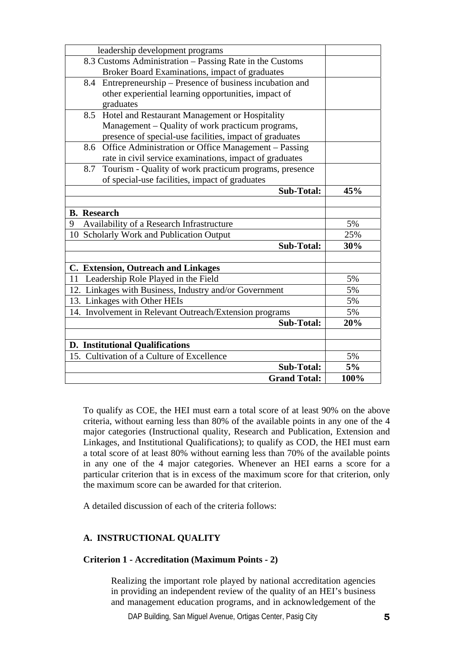| leadership development programs                               |      |
|---------------------------------------------------------------|------|
| 8.3 Customs Administration - Passing Rate in the Customs      |      |
| Broker Board Examinations, impact of graduates                |      |
| 8.4 Entrepreneurship – Presence of business incubation and    |      |
| other experiential learning opportunities, impact of          |      |
| graduates                                                     |      |
| 8.5<br>Hotel and Restaurant Management or Hospitality         |      |
| Management – Quality of work practicum programs,              |      |
| presence of special-use facilities, impact of graduates       |      |
| Office Administration or Office Management - Passing<br>8.6   |      |
| rate in civil service examinations, impact of graduates       |      |
| Tourism - Quality of work practicum programs, presence<br>8.7 |      |
| of special-use facilities, impact of graduates                |      |
| <b>Sub-Total:</b>                                             | 45%  |
|                                                               |      |
| <b>B.</b> Research                                            |      |
| Availability of a Research Infrastructure<br>9                | 5%   |
| 10 Scholarly Work and Publication Output                      | 25%  |
| <b>Sub-Total:</b>                                             | 30%  |
|                                                               |      |
| C. Extension, Outreach and Linkages                           |      |
| 11 Leadership Role Played in the Field                        | 5%   |
| 12. Linkages with Business, Industry and/or Government        | 5%   |
| 13. Linkages with Other HEIs                                  | 5%   |
| 14. Involvement in Relevant Outreach/Extension programs       | 5%   |
| <b>Sub-Total:</b>                                             | 20%  |
|                                                               |      |
| <b>D.</b> Institutional Qualifications                        |      |
| 15. Cultivation of a Culture of Excellence                    | 5%   |
| <b>Sub-Total:</b>                                             | 5%   |
| <b>Grand Total:</b>                                           | 100% |

To qualify as COE, the HEI must earn a total score of at least 90% on the above criteria, without earning less than 80% of the available points in any one of the 4 major categories (Instructional quality, Research and Publication, Extension and Linkages, and Institutional Qualifications); to qualify as COD, the HEI must earn a total score of at least 80% without earning less than 70% of the available points in any one of the 4 major categories. Whenever an HEI earns a score for a particular criterion that is in excess of the maximum score for that criterion, only the maximum score can be awarded for that criterion.

A detailed discussion of each of the criteria follows:

## **A. INSTRUCTIONAL QUALITY**

#### **Criterion 1 - Accreditation (Maximum Points - 2)**

Realizing the important role played by national accreditation agencies in providing an independent review of the quality of an HEI's business and management education programs, and in acknowledgement of the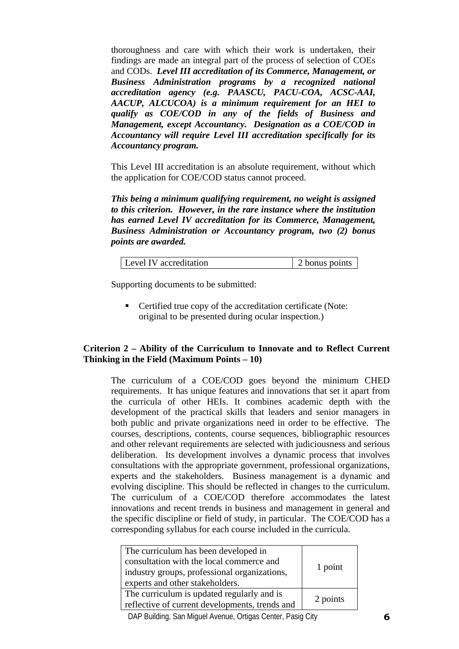thoroughness and care with which their work is undertaken, their findings are made an integral part of the process of selection of COEs and CODs. *Level III accreditation of its Commerce, Management, or Business Administration programs by a recognized national accreditation agency (e.g. PAASCU, PACU-COA, ACSC-AAI, AACUP, ALCUCOA) is a minimum requirement for an HEI to qualify as COE/COD in any of the fields of Business and Management, except Accountancy. Designation as a COE/COD in Accountancy will require Level III accreditation specifically for its Accountancy program.*

This Level III accreditation is an absolute requirement, without which the application for COE/COD status cannot proceed.

*This being a minimum qualifying requirement, no weight is assigned to this criterion. However, in the rare instance where the institution has earned Level IV accreditation for its Commerce, Management, Business Administration or Accountancy program, two (2) bonus points are awarded.* 

| 2 bonus points<br>Level IV accreditation |
|------------------------------------------|
|------------------------------------------|

Supporting documents to be submitted:

■ Certified true copy of the accreditation certificate (Note: original to be presented during ocular inspection.)

#### **Criterion 2 – Ability of the Curriculum to Innovate and to Reflect Current Thinking in the Field (Maximum Points – 10)**

The curriculum of a COE/COD goes beyond the minimum CHED requirements. It has unique features and innovations that set it apart from the curricula of other HEIs. It combines academic depth with the development of the practical skills that leaders and senior managers in both public and private organizations need in order to be effective. The courses, descriptions, contents, course sequences, bibliographic resources and other relevant requirements are selected with judiciousness and serious deliberation. Its development involves a dynamic process that involves consultations with the appropriate government, professional organizations, experts and the stakeholders. Business management is a dynamic and evolving discipline. This should be reflected in changes to the curriculum. The curriculum of a COE/COD therefore accommodates the latest innovations and recent trends in business and management in general and the specific discipline or field of study, in particular. The COE/COD has a corresponding syllabus for each course included in the curricula.

| The curriculum has been developed in<br>consultation with the local commerce and<br>industry groups, professional organizations,<br>experts and other stakeholders. | 1 point  |
|---------------------------------------------------------------------------------------------------------------------------------------------------------------------|----------|
| The curriculum is updated regularly and is<br>reflective of current developments, trends and                                                                        | 2 points |

DAP Building, San Miguel Avenue, Ortigas Center, Pasig City **6**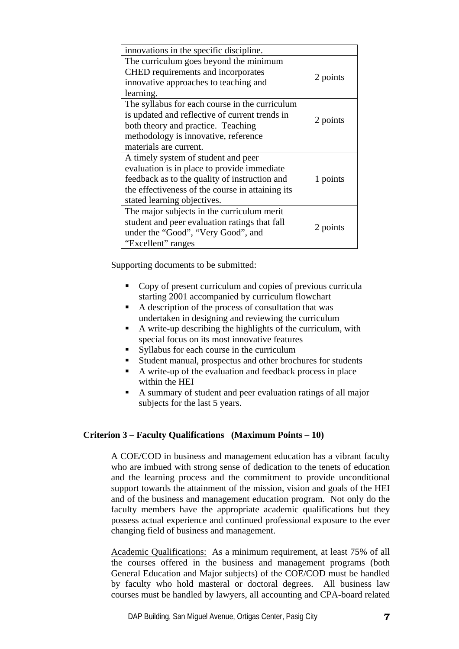| innovations in the specific discipline.          |          |
|--------------------------------------------------|----------|
| The curriculum goes beyond the minimum           |          |
| CHED requirements and incorporates               | 2 points |
| innovative approaches to teaching and            |          |
| learning.                                        |          |
| The syllabus for each course in the curriculum   |          |
| is updated and reflective of current trends in   | 2 points |
| both theory and practice. Teaching               |          |
| methodology is innovative, reference             |          |
| materials are current.                           |          |
| A timely system of student and peer              |          |
| evaluation is in place to provide immediate      |          |
| feedback as to the quality of instruction and    | 1 points |
| the effectiveness of the course in attaining its |          |
| stated learning objectives.                      |          |
| The major subjects in the curriculum merit       |          |
| student and peer evaluation ratings that fall    |          |
| under the "Good", "Very Good", and               | 2 points |
| "Excellent" ranges                               |          |

- Copy of present curriculum and copies of previous curricula starting 2001 accompanied by curriculum flowchart
- $\blacksquare$  A description of the process of consultation that was undertaken in designing and reviewing the curriculum
- A write-up describing the highlights of the curriculum, with special focus on its most innovative features
- Syllabus for each course in the curriculum
- Student manual, prospectus and other brochures for students
- A write-up of the evaluation and feedback process in place within the HEI
- A summary of student and peer evaluation ratings of all major subjects for the last 5 years.

#### **Criterion 3 – Faculty Qualifications (Maximum Points – 10)**

A COE/COD in business and management education has a vibrant faculty who are imbued with strong sense of dedication to the tenets of education and the learning process and the commitment to provide unconditional support towards the attainment of the mission, vision and goals of the HEI and of the business and management education program. Not only do the faculty members have the appropriate academic qualifications but they possess actual experience and continued professional exposure to the ever changing field of business and management.

Academic Qualifications: As a minimum requirement, at least 75% of all the courses offered in the business and management programs (both General Education and Major subjects) of the COE/COD must be handled by faculty who hold masteral or doctoral degrees. All business law courses must be handled by lawyers, all accounting and CPA-board related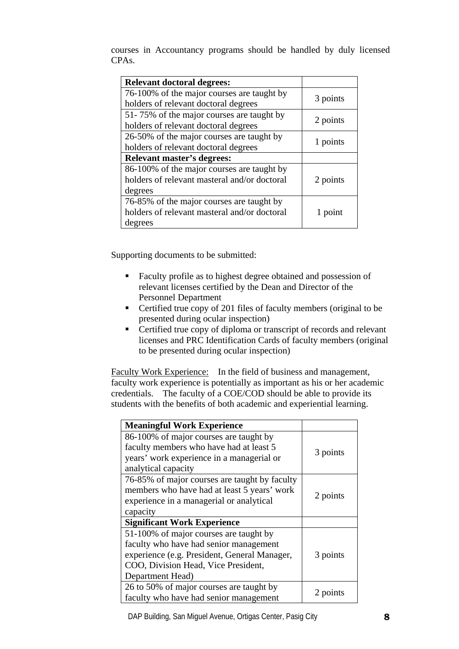courses in Accountancy programs should be handled by duly licensed CPAs.

| <b>Relevant doctoral degrees:</b>            |          |
|----------------------------------------------|----------|
| 76-100% of the major courses are taught by   |          |
| holders of relevant doctoral degrees         | 3 points |
| 51-75% of the major courses are taught by    |          |
| holders of relevant doctoral degrees         | 2 points |
| 26-50% of the major courses are taught by    |          |
| holders of relevant doctoral degrees         | 1 points |
| <b>Relevant master's degrees:</b>            |          |
| 86-100% of the major courses are taught by   |          |
| holders of relevant masteral and/or doctoral | 2 points |
| degrees                                      |          |
| 76-85% of the major courses are taught by    |          |
| holders of relevant masteral and/or doctoral | 1 point  |
| degrees                                      |          |

Supporting documents to be submitted:

- Faculty profile as to highest degree obtained and possession of relevant licenses certified by the Dean and Director of the Personnel Department
- Certified true copy of 201 files of faculty members (original to be presented during ocular inspection)
- Certified true copy of diploma or transcript of records and relevant licenses and PRC Identification Cards of faculty members (original to be presented during ocular inspection)

Faculty Work Experience: In the field of business and management, faculty work experience is potentially as important as his or her academic credentials. The faculty of a COE/COD should be able to provide its students with the benefits of both academic and experiential learning.

| <b>Meaningful Work Experience</b>                                                    |          |
|--------------------------------------------------------------------------------------|----------|
| 86-100% of major courses are taught by                                               |          |
| faculty members who have had at least 5<br>years' work experience in a managerial or | 3 points |
| analytical capacity                                                                  |          |
| 76-85% of major courses are taught by faculty                                        |          |
| members who have had at least 5 years' work                                          | 2 points |
| experience in a managerial or analytical                                             |          |
| capacity                                                                             |          |
| <b>Significant Work Experience</b>                                                   |          |
| 51-100% of major courses are taught by                                               |          |
| faculty who have had senior management                                               |          |
| experience (e.g. President, General Manager,                                         | 3 points |
| COO, Division Head, Vice President,                                                  |          |
| Department Head)                                                                     |          |
| 26 to 50% of major courses are taught by                                             |          |
| faculty who have had senior management                                               | 2 points |

DAP Building, San Miguel Avenue, Ortigas Center, Pasig City **8**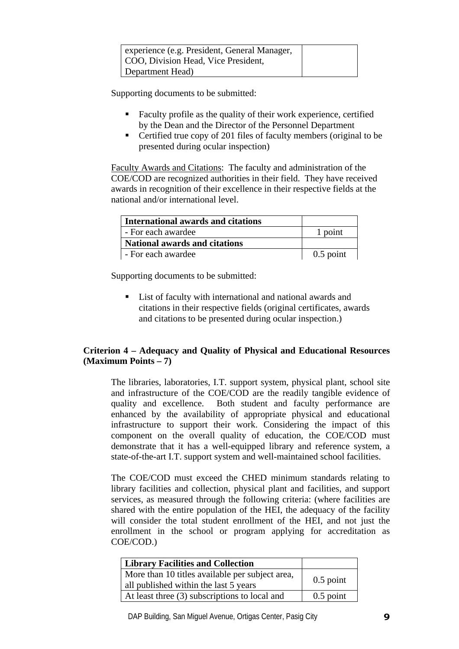| experience (e.g. President, General Manager, |  |
|----------------------------------------------|--|
| COO, Division Head, Vice President,          |  |
| Department Head)                             |  |

- Faculty profile as the quality of their work experience, certified by the Dean and the Director of the Personnel Department
- Certified true copy of 201 files of faculty members (original to be presented during ocular inspection)

Faculty Awards and Citations: The faculty and administration of the COE/COD are recognized authorities in their field. They have received awards in recognition of their excellence in their respective fields at the national and/or international level.

| International awards and citations |             |
|------------------------------------|-------------|
| - For each awardee                 | 1 point     |
| National awards and citations      |             |
| - For each awardee                 | $0.5$ point |

Supporting documents to be submitted:

■ List of faculty with international and national awards and citations in their respective fields (original certificates, awards and citations to be presented during ocular inspection.)

# **Criterion 4 – Adequacy and Quality of Physical and Educational Resources (Maximum Points – 7)**

The libraries, laboratories, I.T. support system, physical plant, school site and infrastructure of the COE/COD are the readily tangible evidence of quality and excellence. Both student and faculty performance are enhanced by the availability of appropriate physical and educational infrastructure to support their work. Considering the impact of this component on the overall quality of education, the COE/COD must demonstrate that it has a well-equipped library and reference system, a state-of-the-art I.T. support system and well-maintained school facilities.

The COE/COD must exceed the CHED minimum standards relating to library facilities and collection, physical plant and facilities, and support services, as measured through the following criteria: (where facilities are shared with the entire population of the HEI, the adequacy of the facility will consider the total student enrollment of the HEI, and not just the enrollment in the school or program applying for accreditation as COE/COD.)

| <b>Library Facilities and Collection</b>                                                 |             |
|------------------------------------------------------------------------------------------|-------------|
| More than 10 titles available per subject area,<br>all published within the last 5 years | $0.5$ point |
| At least three (3) subscriptions to local and                                            | $0.5$ point |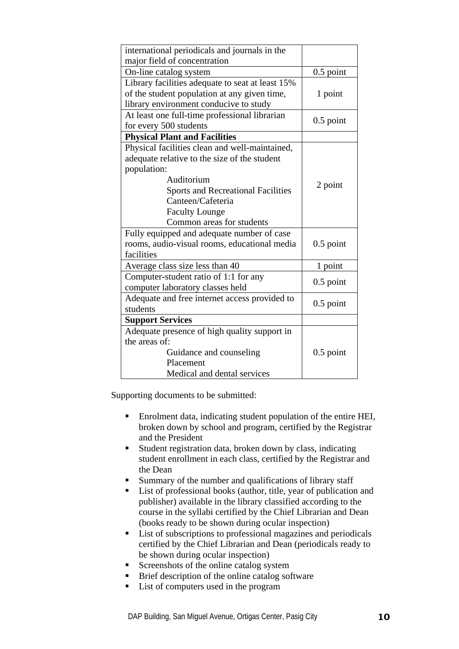| international periodicals and journals in the    |             |
|--------------------------------------------------|-------------|
| major field of concentration                     |             |
| On-line catalog system                           | $0.5$ point |
| Library facilities adequate to seat at least 15% |             |
| of the student population at any given time,     | 1 point     |
| library environment conducive to study           |             |
| At least one full-time professional librarian    | $0.5$ point |
| for every 500 students                           |             |
| <b>Physical Plant and Facilities</b>             |             |
| Physical facilities clean and well-maintained,   |             |
| adequate relative to the size of the student     |             |
| population:                                      |             |
| Auditorium                                       | 2 point     |
| <b>Sports and Recreational Facilities</b>        |             |
| Canteen/Cafeteria                                |             |
| <b>Faculty Lounge</b>                            |             |
| Common areas for students                        |             |
| Fully equipped and adequate number of case       |             |
| rooms, audio-visual rooms, educational media     | $0.5$ point |
| facilities                                       |             |
| Average class size less than 40                  | 1 point     |
| Computer-student ratio of 1:1 for any            | $0.5$ point |
| computer laboratory classes held                 |             |
| Adequate and free internet access provided to    | $0.5$ point |
| students                                         |             |
| <b>Support Services</b>                          |             |
| Adequate presence of high quality support in     |             |
| the areas of:                                    |             |
| Guidance and counseling                          | $0.5$ point |
| Placement                                        |             |
| Medical and dental services                      |             |

- Enrolment data, indicating student population of the entire HEI, broken down by school and program, certified by the Registrar and the President
- Student registration data, broken down by class, indicating student enrollment in each class, certified by the Registrar and the Dean
- Summary of the number and qualifications of library staff
- List of professional books (author, title, year of publication and publisher) available in the library classified according to the course in the syllabi certified by the Chief Librarian and Dean (books ready to be shown during ocular inspection)
- **List of subscriptions to professional magazines and periodicals** certified by the Chief Librarian and Dean (periodicals ready to be shown during ocular inspection)
- Screenshots of the online catalog system
- Brief description of the online catalog software
- List of computers used in the program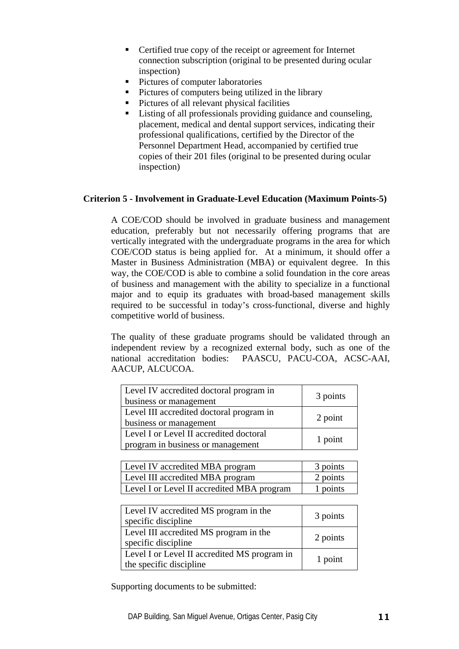- Certified true copy of the receipt or agreement for Internet connection subscription (original to be presented during ocular inspection)
- Pictures of computer laboratories
- **Pictures of computers being utilized in the library**
- Pictures of all relevant physical facilities
- Listing of all professionals providing guidance and counseling, placement, medical and dental support services, indicating their professional qualifications, certified by the Director of the Personnel Department Head, accompanied by certified true copies of their 201 files (original to be presented during ocular inspection)

## **Criterion 5 - Involvement in Graduate-Level Education (Maximum Points-5)**

A COE/COD should be involved in graduate business and management education, preferably but not necessarily offering programs that are vertically integrated with the undergraduate programs in the area for which COE/COD status is being applied for. At a minimum, it should offer a Master in Business Administration (MBA) or equivalent degree. In this way, the COE/COD is able to combine a solid foundation in the core areas of business and management with the ability to specialize in a functional major and to equip its graduates with broad-based management skills required to be successful in today's cross-functional, diverse and highly competitive world of business.

The quality of these graduate programs should be validated through an independent review by a recognized external body, such as one of the national accreditation bodies: PAASCU, PACU-COA, ACSC-AAI, AACUP, ALCUCOA.

| Level IV accredited doctoral program in<br>business or management            | 3 points |
|------------------------------------------------------------------------------|----------|
| Level III accredited doctoral program in<br>business or management           | 2 point  |
| Level I or Level II accredited doctoral<br>program in business or management | 1 point  |

| Level IV accredited MBA program            | 3 points |
|--------------------------------------------|----------|
| Level III accredited MBA program           | 2 points |
| Level I or Level II accredited MBA program | 1 points |

| Level IV accredited MS program in the<br>specific discipline            | 3 points |
|-------------------------------------------------------------------------|----------|
| Level III accredited MS program in the<br>specific discipline           | 2 points |
| Level I or Level II accredited MS program in<br>the specific discipline | 1 point  |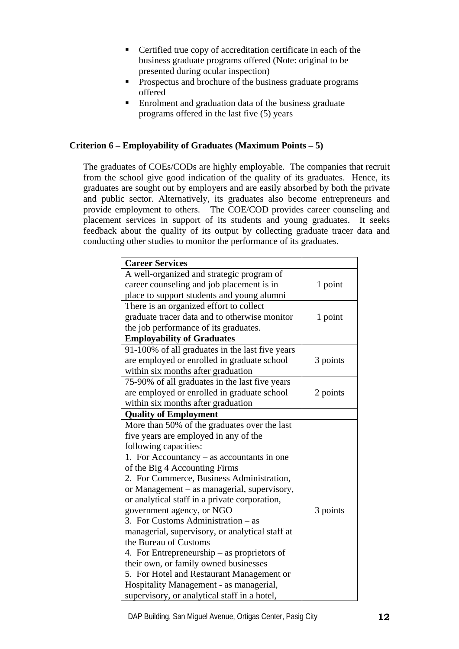- Certified true copy of accreditation certificate in each of the business graduate programs offered (Note: original to be presented during ocular inspection)
- **Prospectus and brochure of the business graduate programs** offered
- Enrolment and graduation data of the business graduate programs offered in the last five (5) years

## **Criterion 6 – Employability of Graduates (Maximum Points – 5)**

The graduates of COEs/CODs are highly employable. The companies that recruit from the school give good indication of the quality of its graduates. Hence, its graduates are sought out by employers and are easily absorbed by both the private and public sector. Alternatively, its graduates also become entrepreneurs and provide employment to others. The COE/COD provides career counseling and placement services in support of its students and young graduates. It seeks feedback about the quality of its output by collecting graduate tracer data and conducting other studies to monitor the performance of its graduates.

| <b>Career Services</b>                          |          |
|-------------------------------------------------|----------|
| A well-organized and strategic program of       |          |
| career counseling and job placement is in       | 1 point  |
| place to support students and young alumni      |          |
| There is an organized effort to collect         |          |
| graduate tracer data and to otherwise monitor   | 1 point  |
| the job performance of its graduates.           |          |
| <b>Employability of Graduates</b>               |          |
| 91-100% of all graduates in the last five years |          |
| are employed or enrolled in graduate school     | 3 points |
| within six months after graduation              |          |
| 75-90% of all graduates in the last five years  |          |
| are employed or enrolled in graduate school     | 2 points |
| within six months after graduation              |          |
| <b>Quality of Employment</b>                    |          |
| More than 50% of the graduates over the last    |          |
| five years are employed in any of the           |          |
| following capacities:                           |          |
| 1. For Accountancy – as accountants in one      |          |
| of the Big 4 Accounting Firms                   |          |
| 2. For Commerce, Business Administration,       |          |
| or Management – as managerial, supervisory,     |          |
| or analytical staff in a private corporation,   |          |
| government agency, or NGO                       | 3 points |
| 3. For Customs Administration - as              |          |
| managerial, supervisory, or analytical staff at |          |
| the Bureau of Customs                           |          |
| 4. For Entrepreneurship – as proprietors of     |          |
| their own, or family owned businesses           |          |
| 5. For Hotel and Restaurant Management or       |          |
| Hospitality Management - as managerial,         |          |
| supervisory, or analytical staff in a hotel,    |          |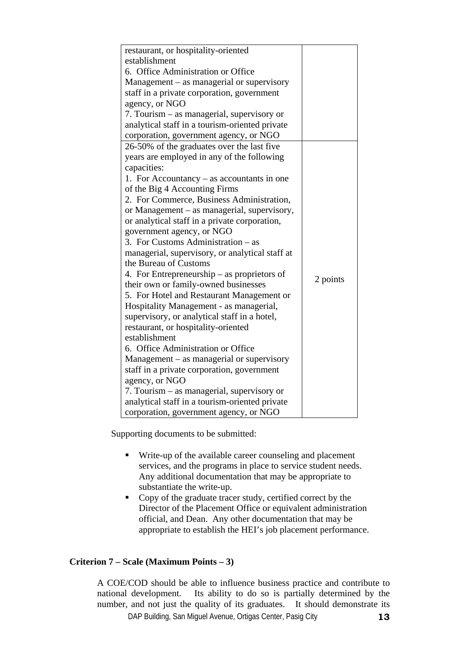| restaurant, or hospitality-oriented             |          |
|-------------------------------------------------|----------|
| establishment                                   |          |
| 6. Office Administration or Office              |          |
| Management – as managerial or supervisory       |          |
| staff in a private corporation, government      |          |
| agency, or NGO                                  |          |
| 7. Tourism - as managerial, supervisory or      |          |
| analytical staff in a tourism-oriented private  |          |
| corporation, government agency, or NGO          |          |
| 26-50% of the graduates over the last five      |          |
| years are employed in any of the following      |          |
| capacities:                                     |          |
| 1. For Accountancy $-$ as accountants in one    |          |
| of the Big 4 Accounting Firms                   |          |
| 2. For Commerce, Business Administration,       |          |
| or Management – as managerial, supervisory,     |          |
| or analytical staff in a private corporation,   |          |
| government agency, or NGO                       |          |
| 3. For Customs Administration – as              |          |
| managerial, supervisory, or analytical staff at |          |
| the Bureau of Customs                           |          |
| 4. For Entrepreneurship $-$ as proprietors of   |          |
| their own or family-owned businesses            | 2 points |
| 5. For Hotel and Restaurant Management or       |          |
| Hospitality Management - as managerial,         |          |
| supervisory, or analytical staff in a hotel,    |          |
| restaurant, or hospitality-oriented             |          |
| establishment                                   |          |
| 6. Office Administration or Office              |          |
| $Management - as management$ or supervisory     |          |
| staff in a private corporation, government      |          |
| agency, or NGO                                  |          |
| 7. Tourism – as managerial, supervisory or      |          |
| analytical staff in a tourism-oriented private  |          |
| corporation, government agency, or NGO          |          |

- Write-up of the available career counseling and placement services, and the programs in place to service student needs. Any additional documentation that may be appropriate to substantiate the write-up.
- Copy of the graduate tracer study, certified correct by the Director of the Placement Office or equivalent administration official, and Dean. Any other documentation that may be appropriate to establish the HEI's job placement performance.

## **Criterion 7 – Scale (Maximum Points – 3)**

DAP Building, San Miguel Avenue, Ortigas Center, Pasig City **13** A COE/COD should be able to influence business practice and contribute to national development. Its ability to do so is partially determined by the number, and not just the quality of its graduates. It should demonstrate its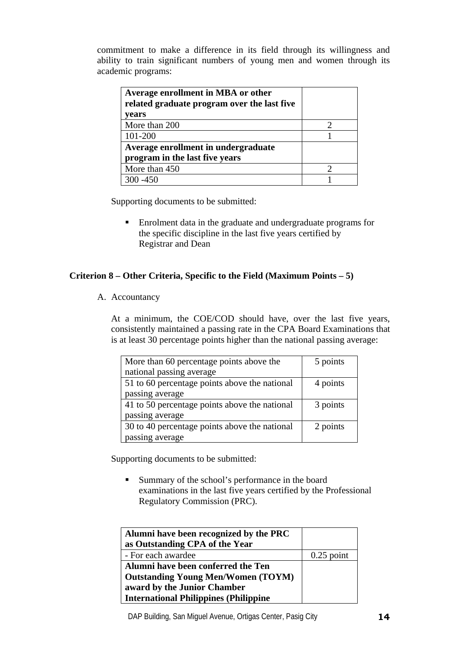commitment to make a difference in its field through its willingness and ability to train significant numbers of young men and women through its academic programs:

| Average enrollment in MBA or other<br>related graduate program over the last five |  |
|-----------------------------------------------------------------------------------|--|
| vears                                                                             |  |
| More than 200                                                                     |  |
| 101-200                                                                           |  |
| Average enrollment in undergraduate                                               |  |
| program in the last five years                                                    |  |
| More than 450                                                                     |  |
| $0 - 450$                                                                         |  |

Supporting documents to be submitted:

 Enrolment data in the graduate and undergraduate programs for the specific discipline in the last five years certified by Registrar and Dean

## **Criterion 8 – Other Criteria, Specific to the Field (Maximum Points – 5)**

A. Accountancy

At a minimum, the COE/COD should have, over the last five years, consistently maintained a passing rate in the CPA Board Examinations that is at least 30 percentage points higher than the national passing average:

| More than 60 percentage points above the      | 5 points |
|-----------------------------------------------|----------|
| national passing average                      |          |
| 51 to 60 percentage points above the national | 4 points |
| passing average                               |          |
| 41 to 50 percentage points above the national | 3 points |
| passing average                               |          |
| 30 to 40 percentage points above the national | 2 points |
| passing average                               |          |

Supporting documents to be submitted:

 Summary of the school's performance in the board examinations in the last five years certified by the Professional Regulatory Commission (PRC).

| Alumni have been recognized by the PRC       |              |
|----------------------------------------------|--------------|
| as Outstanding CPA of the Year               |              |
| - For each awardee                           | $0.25$ point |
| Alumni have been conferred the Ten           |              |
| <b>Outstanding Young Men/Women (TOYM)</b>    |              |
| award by the Junior Chamber                  |              |
| <b>International Philippines (Philippine</b> |              |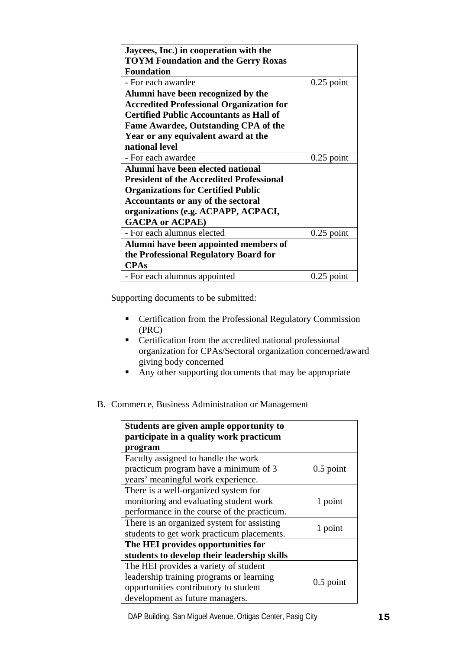| Jaycees, Inc.) in cooperation with the          |              |
|-------------------------------------------------|--------------|
| <b>TOYM Foundation and the Gerry Roxas</b>      |              |
| <b>Foundation</b>                               |              |
| - For each awardee                              | $0.25$ point |
| Alumni have been recognized by the              |              |
| <b>Accredited Professional Organization for</b> |              |
| <b>Certified Public Accountants as Hall of</b>  |              |
| Fame Awardee, Outstanding CPA of the            |              |
| Year or any equivalent award at the             |              |
| national level                                  |              |
| - For each awardee                              | $0.25$ point |
| Alumni have been elected national               |              |
| <b>President of the Accredited Professional</b> |              |
| <b>Organizations for Certified Public</b>       |              |
| <b>Accountants or any of the sectoral</b>       |              |
| organizations (e.g. ACPAPP, ACPACI,             |              |
| <b>GACPA or ACPAE)</b>                          |              |
| - For each alumnus elected                      | $0.25$ point |
| Alumni have been appointed members of           |              |
| the Professional Regulatory Board for           |              |
| <b>CPAs</b>                                     |              |
| - For each alumnus appointed                    | $0.25$ point |

- **•** Certification from the Professional Regulatory Commission (PRC)
- **•** Certification from the accredited national professional organization for CPAs/Sectoral organization concerned/award giving body concerned
- Any other supporting documents that may be appropriate
- B. Commerce, Business Administration or Management

| Students are given ample opportunity to<br>participate in a quality work practicum<br>program                                                                 |             |
|---------------------------------------------------------------------------------------------------------------------------------------------------------------|-------------|
| Faculty assigned to handle the work<br>practicum program have a minimum of 3<br>years' meaningful work experience.                                            | $0.5$ point |
| There is a well-organized system for<br>monitoring and evaluating student work<br>performance in the course of the practicum.                                 | 1 point     |
| There is an organized system for assisting<br>students to get work practicum placements.                                                                      | 1 point     |
| The HEI provides opportunities for<br>students to develop their leadership skills                                                                             |             |
| The HEI provides a variety of student<br>leadership training programs or learning<br>opportunities contributory to student<br>development as future managers. | $0.5$ point |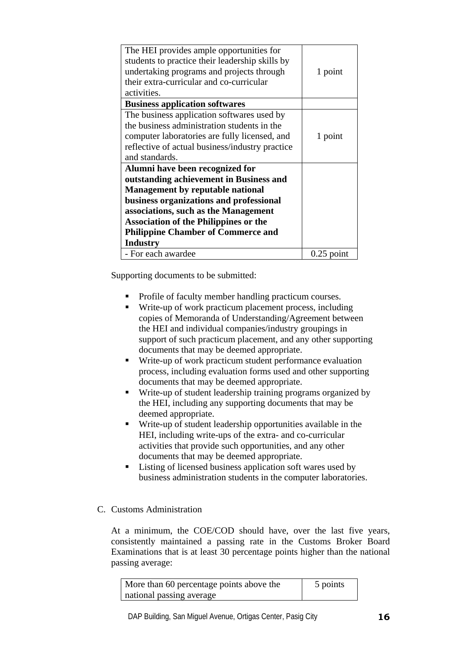| 1 point      |
|--------------|
|              |
|              |
|              |
|              |
|              |
| 1 point      |
|              |
|              |
|              |
|              |
|              |
|              |
|              |
|              |
|              |
|              |
| $0.25$ point |
|              |

- Profile of faculty member handling practicum courses.
- Write-up of work practicum placement process, including copies of Memoranda of Understanding/Agreement between the HEI and individual companies/industry groupings in support of such practicum placement, and any other supporting documents that may be deemed appropriate.
- Write-up of work practicum student performance evaluation process, including evaluation forms used and other supporting documents that may be deemed appropriate.
- Write-up of student leadership training programs organized by the HEI, including any supporting documents that may be deemed appropriate.
- Write-up of student leadership opportunities available in the HEI, including write-ups of the extra- and co-curricular activities that provide such opportunities, and any other documents that may be deemed appropriate.
- Listing of licensed business application soft wares used by business administration students in the computer laboratories.
- C. Customs Administration

At a minimum, the COE/COD should have, over the last five years, consistently maintained a passing rate in the Customs Broker Board Examinations that is at least 30 percentage points higher than the national passing average:

| More than 60 percentage points above the | 5 points |
|------------------------------------------|----------|
| national passing average                 |          |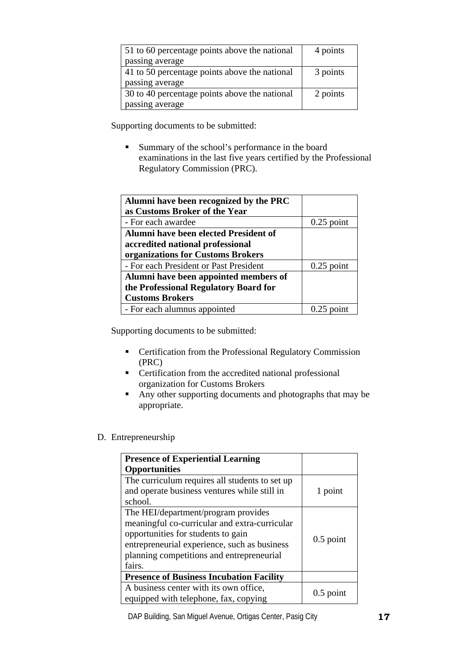| 51 to 60 percentage points above the national | 4 points |
|-----------------------------------------------|----------|
| passing average                               |          |
| 41 to 50 percentage points above the national | 3 points |
| passing average                               |          |
| 30 to 40 percentage points above the national | 2 points |
| passing average                               |          |

 Summary of the school's performance in the board examinations in the last five years certified by the Professional Regulatory Commission (PRC).

| Alumni have been recognized by the PRC |              |
|----------------------------------------|--------------|
| as Customs Broker of the Year          |              |
| - For each awardee                     | $0.25$ point |
| Alumni have been elected President of  |              |
| accredited national professional       |              |
| organizations for Customs Brokers      |              |
| - For each President or Past President | $0.25$ point |
| Alumni have been appointed members of  |              |
| the Professional Regulatory Board for  |              |
| <b>Customs Brokers</b>                 |              |
| - For each alumnus appointed           |              |

Supporting documents to be submitted:

- **•** Certification from the Professional Regulatory Commission (PRC)
- **•** Certification from the accredited national professional organization for Customs Brokers
- Any other supporting documents and photographs that may be appropriate.

# D. Entrepreneurship

| <b>Presence of Experiential Learning</b>                                                                                                                                                                                          |             |
|-----------------------------------------------------------------------------------------------------------------------------------------------------------------------------------------------------------------------------------|-------------|
| <b>Opportunities</b>                                                                                                                                                                                                              |             |
| The curriculum requires all students to set up<br>and operate business ventures while still in<br>school.                                                                                                                         | 1 point     |
| The HEI/department/program provides<br>meaningful co-curricular and extra-curricular<br>opportunities for students to gain<br>entrepreneurial experience, such as business<br>planning competitions and entrepreneurial<br>fairs. | $0.5$ point |
| <b>Presence of Business Incubation Facility</b>                                                                                                                                                                                   |             |
| A business center with its own office,<br>equipped with telephone, fax, copying                                                                                                                                                   | $0.5$ point |

DAP Building, San Miguel Avenue, Ortigas Center, Pasig City **17**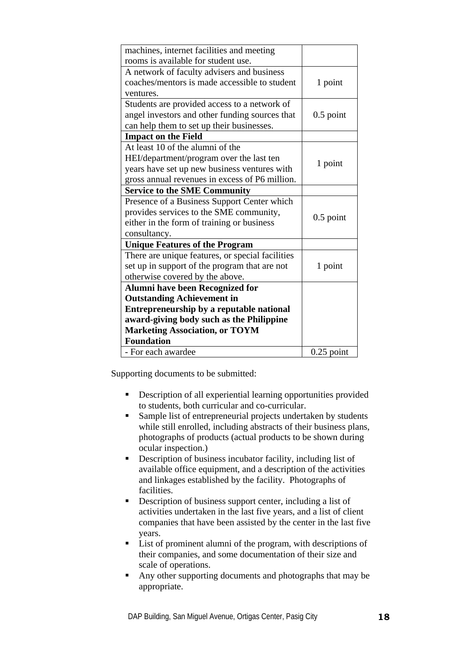| machines, internet facilities and meeting        |              |
|--------------------------------------------------|--------------|
| rooms is available for student use.              |              |
| A network of faculty advisers and business       |              |
| coaches/mentors is made accessible to student    | 1 point      |
| ventures.                                        |              |
| Students are provided access to a network of     |              |
| angel investors and other funding sources that   | $0.5$ point  |
| can help them to set up their businesses.        |              |
| <b>Impact on the Field</b>                       |              |
| At least 10 of the alumni of the                 |              |
| HEI/department/program over the last ten         |              |
| years have set up new business ventures with     | 1 point      |
| gross annual revenues in excess of P6 million.   |              |
| <b>Service to the SME Community</b>              |              |
| Presence of a Business Support Center which      |              |
| provides services to the SME community,          |              |
| either in the form of training or business       | $0.5$ point  |
| consultancy.                                     |              |
| <b>Unique Features of the Program</b>            |              |
| There are unique features, or special facilities |              |
| set up in support of the program that are not    | 1 point      |
| otherwise covered by the above.                  |              |
| <b>Alumni have been Recognized for</b>           |              |
| <b>Outstanding Achievement in</b>                |              |
| Entrepreneurship by a reputable national         |              |
| award-giving body such as the Philippine         |              |
| <b>Marketing Association, or TOYM</b>            |              |
| <b>Foundation</b>                                |              |
| - For each awardee                               | $0.25$ point |

- Description of all experiential learning opportunities provided to students, both curricular and co-curricular.
- Sample list of entrepreneurial projects undertaken by students while still enrolled, including abstracts of their business plans, photographs of products (actual products to be shown during ocular inspection.)
- Description of business incubator facility, including list of available office equipment, and a description of the activities and linkages established by the facility. Photographs of facilities.
- Description of business support center, including a list of activities undertaken in the last five years, and a list of client companies that have been assisted by the center in the last five years.
- **List of prominent alumni of the program, with descriptions of** their companies, and some documentation of their size and scale of operations.
- Any other supporting documents and photographs that may be appropriate.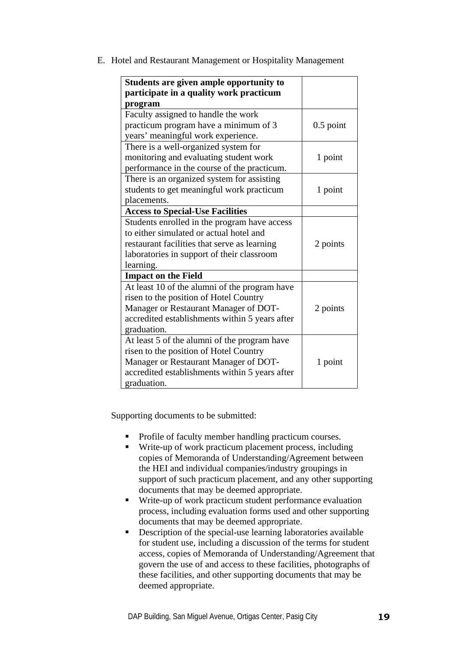| Students are given ample opportunity to<br>participate in a quality work practicum<br>program                                                                                                      |             |
|----------------------------------------------------------------------------------------------------------------------------------------------------------------------------------------------------|-------------|
| Faculty assigned to handle the work<br>practicum program have a minimum of 3<br>years' meaningful work experience.                                                                                 | $0.5$ point |
| There is a well-organized system for<br>monitoring and evaluating student work<br>performance in the course of the practicum.                                                                      | 1 point     |
| There is an organized system for assisting<br>students to get meaningful work practicum<br>placements.                                                                                             | 1 point     |
| <b>Access to Special-Use Facilities</b>                                                                                                                                                            |             |
| Students enrolled in the program have access<br>to either simulated or actual hotel and<br>restaurant facilities that serve as learning<br>laboratories in support of their classroom<br>learning. | 2 points    |
| <b>Impact on the Field</b>                                                                                                                                                                         |             |
| At least 10 of the alumni of the program have<br>risen to the position of Hotel Country<br>Manager or Restaurant Manager of DOT-<br>accredited establishments within 5 years after<br>graduation.  | 2 points    |
| At least 5 of the alumni of the program have<br>risen to the position of Hotel Country<br>Manager or Restaurant Manager of DOT-<br>accredited establishments within 5 years after<br>graduation.   | 1 point     |

E. Hotel and Restaurant Management or Hospitality Management

- Profile of faculty member handling practicum courses.
- Write-up of work practicum placement process, including copies of Memoranda of Understanding/Agreement between the HEI and individual companies/industry groupings in support of such practicum placement, and any other supporting documents that may be deemed appropriate.
- Write-up of work practicum student performance evaluation process, including evaluation forms used and other supporting documents that may be deemed appropriate.
- Description of the special-use learning laboratories available for student use, including a discussion of the terms for student access, copies of Memoranda of Understanding/Agreement that govern the use of and access to these facilities, photographs of these facilities, and other supporting documents that may be deemed appropriate.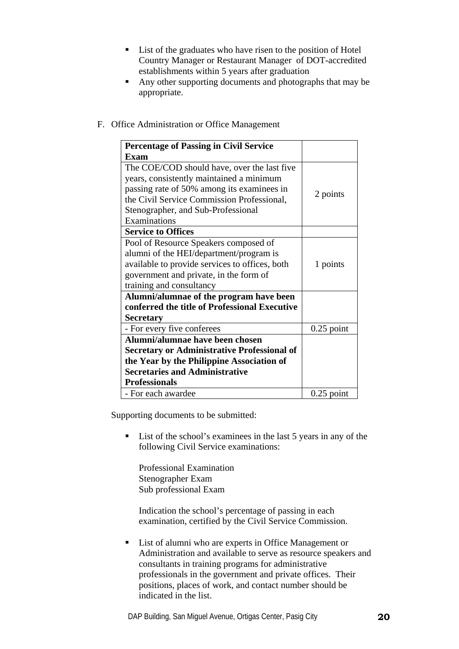- List of the graduates who have risen to the position of Hotel Country Manager or Restaurant Manager of DOT-accredited establishments within 5 years after graduation
- Any other supporting documents and photographs that may be appropriate.
- F. Office Administration or Office Management

| <b>Percentage of Passing in Civil Service</b>      |              |
|----------------------------------------------------|--------------|
| Exam                                               |              |
| The COE/COD should have, over the last five        |              |
| years, consistently maintained a minimum           |              |
| passing rate of 50% among its examinees in         |              |
| the Civil Service Commission Professional,         | 2 points     |
| Stenographer, and Sub-Professional                 |              |
| Examinations                                       |              |
| <b>Service to Offices</b>                          |              |
| Pool of Resource Speakers composed of              |              |
| alumni of the HEI/department/program is            |              |
| available to provide services to offices, both     | 1 points     |
| government and private, in the form of             |              |
| training and consultancy                           |              |
| Alumni/alumnae of the program have been            |              |
| conferred the title of Professional Executive      |              |
| <b>Secretary</b>                                   |              |
| - For every five conferees                         | $0.25$ point |
| Alumni/alumnae have been chosen                    |              |
| <b>Secretary or Administrative Professional of</b> |              |
| the Year by the Philippine Association of          |              |
| <b>Secretaries and Administrative</b>              |              |
| <b>Professionals</b>                               |              |
| - For each awardee                                 | $0.25$ point |

■ List of the school's examinees in the last 5 years in any of the following Civil Service examinations:

Professional Examination Stenographer Exam Sub professional Exam

Indication the school's percentage of passing in each examination, certified by the Civil Service Commission.

■ List of alumni who are experts in Office Management or Administration and available to serve as resource speakers and consultants in training programs for administrative professionals in the government and private offices. Their positions, places of work, and contact number should be indicated in the list.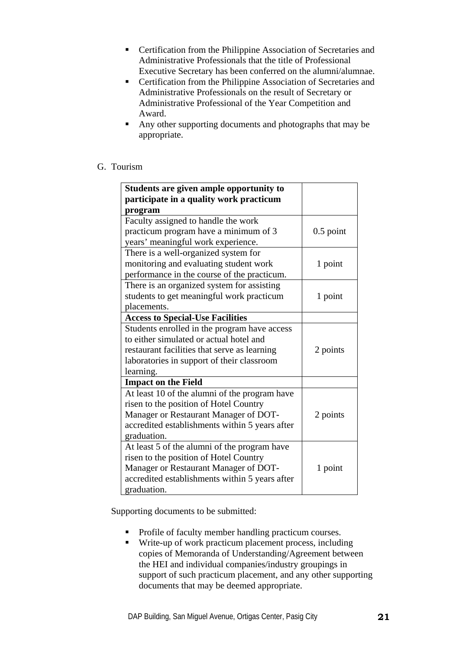- **EXECUTE:** Certification from the Philippine Association of Secretaries and Administrative Professionals that the title of Professional Executive Secretary has been conferred on the alumni/alumnae.
- **EXECUTE:** Certification from the Philippine Association of Secretaries and Administrative Professionals on the result of Secretary or Administrative Professional of the Year Competition and Award.
- Any other supporting documents and photographs that may be appropriate.

## G. Tourism

| Students are given ample opportunity to        |             |
|------------------------------------------------|-------------|
| participate in a quality work practicum        |             |
| program                                        |             |
| Faculty assigned to handle the work            |             |
| practicum program have a minimum of 3          | $0.5$ point |
| years' meaningful work experience.             |             |
| There is a well-organized system for           |             |
| monitoring and evaluating student work         | 1 point     |
| performance in the course of the practicum.    |             |
| There is an organized system for assisting     |             |
| students to get meaningful work practicum      | 1 point     |
| placements.                                    |             |
| <b>Access to Special-Use Facilities</b>        |             |
| Students enrolled in the program have access   |             |
| to either simulated or actual hotel and        |             |
| restaurant facilities that serve as learning   | 2 points    |
| laboratories in support of their classroom     |             |
| learning.                                      |             |
| <b>Impact on the Field</b>                     |             |
| At least 10 of the alumni of the program have  |             |
| risen to the position of Hotel Country         |             |
| Manager or Restaurant Manager of DOT-          | 2 points    |
| accredited establishments within 5 years after |             |
| graduation.                                    |             |
| At least 5 of the alumni of the program have   |             |
| risen to the position of Hotel Country         |             |
| Manager or Restaurant Manager of DOT-          | 1 point     |
| accredited establishments within 5 years after |             |
| graduation.                                    |             |

- Profile of faculty member handling practicum courses.
- Write-up of work practicum placement process, including copies of Memoranda of Understanding/Agreement between the HEI and individual companies/industry groupings in support of such practicum placement, and any other supporting documents that may be deemed appropriate.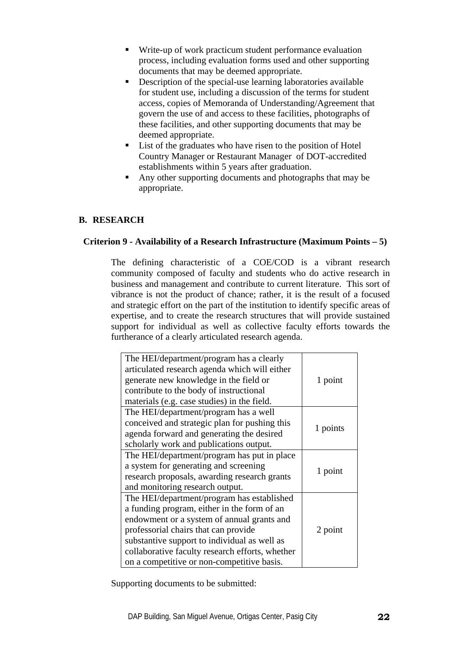- Write-up of work practicum student performance evaluation process, including evaluation forms used and other supporting documents that may be deemed appropriate.
- Description of the special-use learning laboratories available for student use, including a discussion of the terms for student access, copies of Memoranda of Understanding/Agreement that govern the use of and access to these facilities, photographs of these facilities, and other supporting documents that may be deemed appropriate.
- List of the graduates who have risen to the position of Hotel Country Manager or Restaurant Manager of DOT-accredited establishments within 5 years after graduation.
- Any other supporting documents and photographs that may be appropriate.

# **B. RESEARCH**

## **Criterion 9 - Availability of a Research Infrastructure (Maximum Points – 5)**

The defining characteristic of a COE/COD is a vibrant research community composed of faculty and students who do active research in business and management and contribute to current literature. This sort of vibrance is not the product of chance; rather, it is the result of a focused and strategic effort on the part of the institution to identify specific areas of expertise, and to create the research structures that will provide sustained support for individual as well as collective faculty efforts towards the furtherance of a clearly articulated research agenda.

| The HEI/department/program has a clearly<br>articulated research agenda which will either<br>generate new knowledge in the field or<br>contribute to the body of instructional<br>materials (e.g. case studies) in the field.                                                                                                    | 1 point  |
|----------------------------------------------------------------------------------------------------------------------------------------------------------------------------------------------------------------------------------------------------------------------------------------------------------------------------------|----------|
| The HEI/department/program has a well<br>conceived and strategic plan for pushing this<br>agenda forward and generating the desired<br>scholarly work and publications output.                                                                                                                                                   | 1 points |
| The HEI/department/program has put in place<br>a system for generating and screening<br>research proposals, awarding research grants<br>and monitoring research output.                                                                                                                                                          | 1 point  |
| The HEI/department/program has established<br>a funding program, either in the form of an<br>endowment or a system of annual grants and<br>professorial chairs that can provide<br>substantive support to individual as well as<br>collaborative faculty research efforts, whether<br>on a competitive or non-competitive basis. | 2 point  |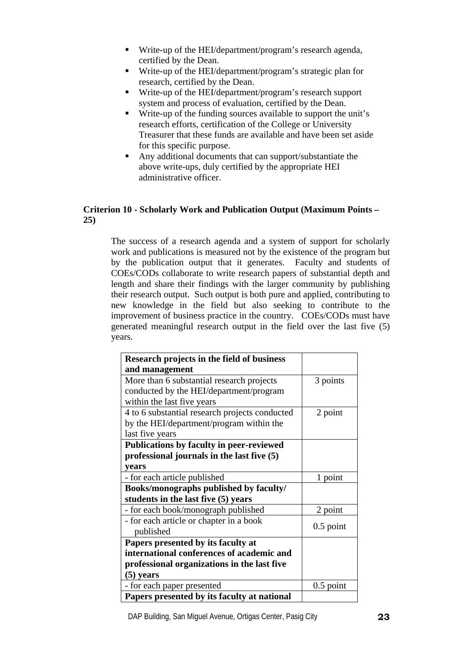- Write-up of the HEI/department/program's research agenda, certified by the Dean.
- Write-up of the HEI/department/program's strategic plan for research, certified by the Dean.
- Write-up of the HEI/department/program's research support system and process of evaluation, certified by the Dean.
- Write-up of the funding sources available to support the unit's research efforts, certification of the College or University Treasurer that these funds are available and have been set aside for this specific purpose.
- Any additional documents that can support/substantiate the above write-ups, duly certified by the appropriate HEI administrative officer.

# **Criterion 10 - Scholarly Work and Publication Output (Maximum Points – 25)**

The success of a research agenda and a system of support for scholarly work and publications is measured not by the existence of the program but by the publication output that it generates. Faculty and students of COEs/CODs collaborate to write research papers of substantial depth and length and share their findings with the larger community by publishing their research output. Such output is both pure and applied, contributing to new knowledge in the field but also seeking to contribute to the improvement of business practice in the country. COEs/CODs must have generated meaningful research output in the field over the last five (5) years.

| Research projects in the field of business     |             |
|------------------------------------------------|-------------|
| and management                                 |             |
| More than 6 substantial research projects      | 3 points    |
| conducted by the HEI/department/program        |             |
| within the last five years                     |             |
| 4 to 6 substantial research projects conducted | 2 point     |
| by the HEI/department/program within the       |             |
| last five years                                |             |
| Publications by faculty in peer-reviewed       |             |
| professional journals in the last five (5)     |             |
| vears                                          |             |
| - for each article published                   | 1 point     |
| Books/monographs published by faculty/         |             |
| students in the last five (5) years            |             |
| - for each book/monograph published            | 2 point     |
| - for each article or chapter in a book        |             |
| published                                      | $0.5$ point |
| Papers presented by its faculty at             |             |
| international conferences of academic and      |             |
| professional organizations in the last five    |             |
| $(5)$ years                                    |             |
| - for each paper presented                     | $0.5$ point |
| Papers presented by its faculty at national    |             |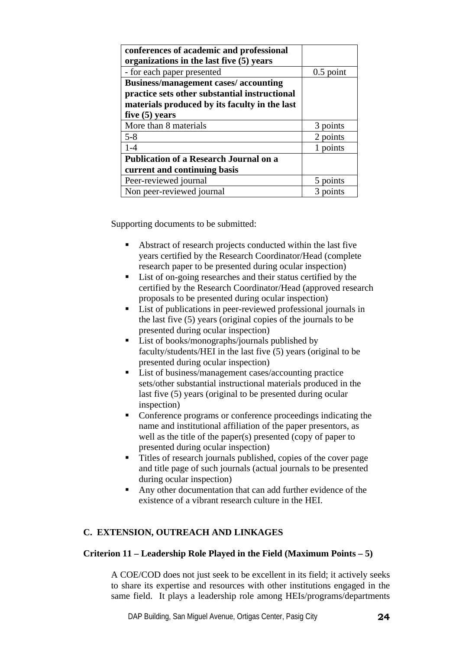| conferences of academic and professional<br>organizations in the last five (5) years |             |
|--------------------------------------------------------------------------------------|-------------|
| - for each paper presented                                                           | $0.5$ point |
| <b>Business/management cases/accounting</b>                                          |             |
| practice sets other substantial instructional                                        |             |
| materials produced by its faculty in the last                                        |             |
| five $(5)$ years                                                                     |             |
| More than 8 materials                                                                | points      |
| $5 - 8$                                                                              | 2 points    |
| $1 - 4$                                                                              | points      |
| <b>Publication of a Research Journal on a</b>                                        |             |
| current and continuing basis                                                         |             |
| Peer-reviewed journal                                                                | points      |
| Non peer-reviewed journal                                                            | points      |

- Abstract of research projects conducted within the last five years certified by the Research Coordinator/Head (complete research paper to be presented during ocular inspection)
- List of on-going researches and their status certified by the certified by the Research Coordinator/Head (approved research proposals to be presented during ocular inspection)
- List of publications in peer-reviewed professional journals in the last five (5) years (original copies of the journals to be presented during ocular inspection)
- **List of books/monographs/journals published by** faculty/students/HEI in the last five (5) years (original to be presented during ocular inspection)
- List of business/management cases/accounting practice sets/other substantial instructional materials produced in the last five (5) years (original to be presented during ocular inspection)
- Conference programs or conference proceedings indicating the name and institutional affiliation of the paper presentors, as well as the title of the paper(s) presented (copy of paper to presented during ocular inspection)
- Titles of research journals published, copies of the cover page and title page of such journals (actual journals to be presented during ocular inspection)
- Any other documentation that can add further evidence of the existence of a vibrant research culture in the HEI.

# **C. EXTENSION, OUTREACH AND LINKAGES**

## **Criterion 11 – Leadership Role Played in the Field (Maximum Points – 5)**

A COE/COD does not just seek to be excellent in its field; it actively seeks to share its expertise and resources with other institutions engaged in the same field. It plays a leadership role among HEIs/programs/departments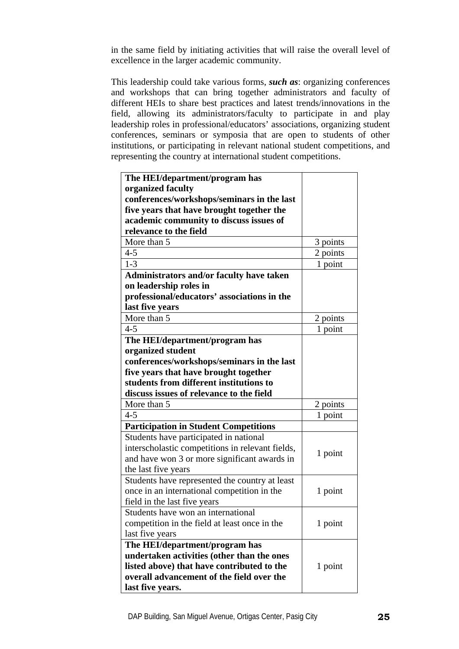in the same field by initiating activities that will raise the overall level of excellence in the larger academic community.

This leadership could take various forms, *such as*: organizing conferences and workshops that can bring together administrators and faculty of different HEIs to share best practices and latest trends/innovations in the field, allowing its administrators/faculty to participate in and play leadership roles in professional/educators' associations, organizing student conferences, seminars or symposia that are open to students of other institutions, or participating in relevant national student competitions, and representing the country at international student competitions.

| The HEI/department/program has                   |          |
|--------------------------------------------------|----------|
| organized faculty                                |          |
| conferences/workshops/seminars in the last       |          |
| five years that have brought together the        |          |
| academic community to discuss issues of          |          |
| relevance to the field                           |          |
| More than 5                                      | 3 points |
| $4 - 5$                                          | 2 points |
| $1 - 3$                                          | 1 point  |
| Administrators and/or faculty have taken         |          |
| on leadership roles in                           |          |
| professional/educators' associations in the      |          |
| last five years                                  |          |
| More than 5                                      | 2 points |
| $4 - 5$                                          | 1 point  |
| The HEI/department/program has                   |          |
| organized student                                |          |
| conferences/workshops/seminars in the last       |          |
| five years that have brought together            |          |
| students from different institutions to          |          |
| discuss issues of relevance to the field         |          |
| More than 5                                      | 2 points |
| $4 - 5$                                          | 1 point  |
| <b>Participation in Student Competitions</b>     |          |
| Students have participated in national           |          |
| interscholastic competitions in relevant fields, | 1 point  |
| and have won 3 or more significant awards in     |          |
| the last five years                              |          |
| Students have represented the country at least   |          |
| once in an international competition in the      | 1 point  |
| field in the last five years                     |          |
| Students have won an international               |          |
| competition in the field at least once in the    | 1 point  |
| last five years                                  |          |
| The HEI/department/program has                   |          |
| undertaken activities (other than the ones       |          |
| listed above) that have contributed to the       | 1 point  |
| overall advancement of the field over the        |          |
|                                                  |          |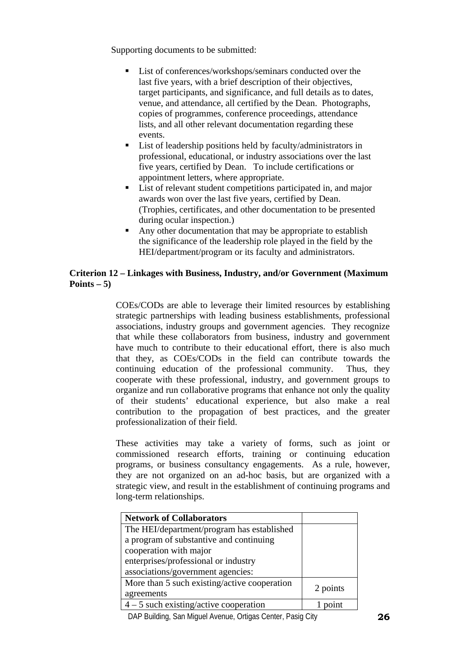- List of conferences/workshops/seminars conducted over the last five years, with a brief description of their objectives. target participants, and significance, and full details as to dates, venue, and attendance, all certified by the Dean. Photographs, copies of programmes, conference proceedings, attendance lists, and all other relevant documentation regarding these events.
- List of leadership positions held by faculty/administrators in professional, educational, or industry associations over the last five years, certified by Dean. To include certifications or appointment letters, where appropriate.
- List of relevant student competitions participated in, and major awards won over the last five years, certified by Dean. (Trophies, certificates, and other documentation to be presented during ocular inspection.)
- Any other documentation that may be appropriate to establish the significance of the leadership role played in the field by the HEI/department/program or its faculty and administrators.

# **Criterion 12 – Linkages with Business, Industry, and/or Government (Maximum Points – 5)**

COEs/CODs are able to leverage their limited resources by establishing strategic partnerships with leading business establishments, professional associations, industry groups and government agencies. They recognize that while these collaborators from business, industry and government have much to contribute to their educational effort, there is also much that they, as COEs/CODs in the field can contribute towards the continuing education of the professional community. Thus, they cooperate with these professional, industry, and government groups to organize and run collaborative programs that enhance not only the quality of their students' educational experience, but also make a real contribution to the propagation of best practices, and the greater professionalization of their field.

These activities may take a variety of forms, such as joint or commissioned research efforts, training or continuing education programs, or business consultancy engagements. As a rule, however, they are not organized on an ad-hoc basis, but are organized with a strategic view, and result in the establishment of continuing programs and long-term relationships.

| <b>Network of Collaborators</b>              |          |
|----------------------------------------------|----------|
| The HEI/department/program has established   |          |
| a program of substantive and continuing      |          |
| cooperation with major                       |          |
| enterprises/professional or industry         |          |
| associations/government agencies:            |          |
| More than 5 such existing/active cooperation | 2 points |
| agreements                                   |          |
| $4 - 5$ such existing/active cooperation     |          |

DAP Building, San Miguel Avenue, Ortigas Center, Pasig City **26**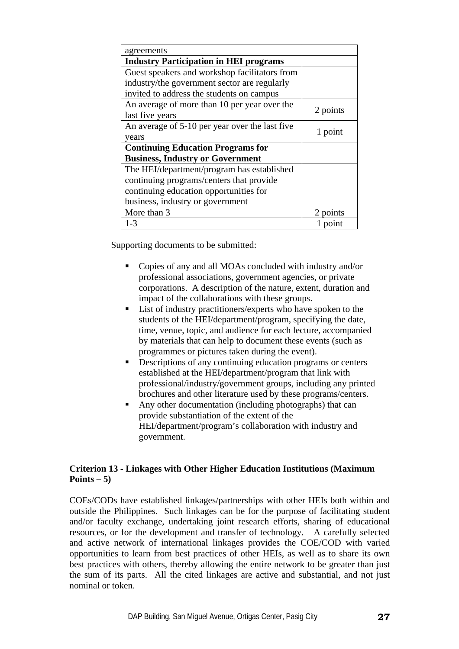| agreements                                     |          |
|------------------------------------------------|----------|
| <b>Industry Participation in HEI programs</b>  |          |
| Guest speakers and workshop facilitators from  |          |
| industry/the government sector are regularly   |          |
| invited to address the students on campus      |          |
| An average of more than 10 per year over the   | 2 points |
| last five years                                |          |
| An average of 5-10 per year over the last five | 1 point  |
| years                                          |          |
| <b>Continuing Education Programs for</b>       |          |
| <b>Business, Industry or Government</b>        |          |
| The HEI/department/program has established     |          |
| continuing programs/centers that provide       |          |
| continuing education opportunities for         |          |
| business, industry or government               |          |
| More than 3                                    | 2 points |
| $1 - 3$                                        | point    |

- Copies of any and all MOAs concluded with industry and/or professional associations, government agencies, or private corporations. A description of the nature, extent, duration and impact of the collaborations with these groups.
- List of industry practitioners/experts who have spoken to the students of the HEI/department/program, specifying the date, time, venue, topic, and audience for each lecture, accompanied by materials that can help to document these events (such as programmes or pictures taken during the event).
- Descriptions of any continuing education programs or centers established at the HEI/department/program that link with professional/industry/government groups, including any printed brochures and other literature used by these programs/centers.
- Any other documentation (including photographs) that can provide substantiation of the extent of the HEI/department/program's collaboration with industry and government.

# **Criterion 13 - Linkages with Other Higher Education Institutions (Maximum Points – 5)**

COEs/CODs have established linkages/partnerships with other HEIs both within and outside the Philippines. Such linkages can be for the purpose of facilitating student and/or faculty exchange, undertaking joint research efforts, sharing of educational resources, or for the development and transfer of technology. A carefully selected and active network of international linkages provides the COE/COD with varied opportunities to learn from best practices of other HEIs, as well as to share its own best practices with others, thereby allowing the entire network to be greater than just the sum of its parts. All the cited linkages are active and substantial, and not just nominal or token.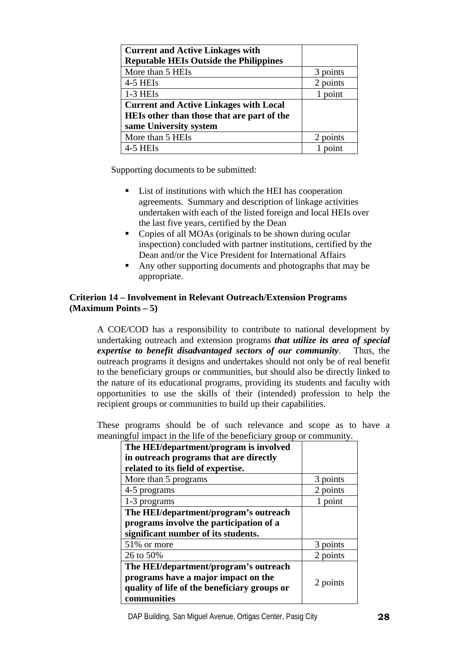| <b>Current and Active Linkages with</b><br><b>Reputable HEIs Outside the Philippines</b> |          |
|------------------------------------------------------------------------------------------|----------|
| More than 5 HEIs                                                                         | 3 points |
| 4-5 HEIs                                                                                 | 2 points |
| $1-3$ HEIs                                                                               | 1 point  |
| <b>Current and Active Linkages with Local</b>                                            |          |
| HEIs other than those that are part of the                                               |          |
| same University system                                                                   |          |
| More than 5 HEIs                                                                         | 2 points |
| 4-5 HEIs                                                                                 | noint    |

- List of institutions with which the HEI has cooperation agreements. Summary and description of linkage activities undertaken with each of the listed foreign and local HEIs over the last five years, certified by the Dean
- Copies of all MOAs (originals to be shown during ocular inspection) concluded with partner institutions, certified by the Dean and/or the Vice President for International Affairs
- Any other supporting documents and photographs that may be appropriate.

## **Criterion 14 – Involvement in Relevant Outreach/Extension Programs (Maximum Points – 5)**

A COE/COD has a responsibility to contribute to national development by undertaking outreach and extension programs *that utilize its area of special expertise to benefit disadvantaged sectors of our community*. Thus, the outreach programs it designs and undertakes should not only be of real benefit to the beneficiary groups or communities, but should also be directly linked to the nature of its educational programs, providing its students and faculty with opportunities to use the skills of their (intended) profession to help the recipient groups or communities to build up their capabilities.

These programs should be of such relevance and scope as to have a meaningful impact in the life of the beneficiary group or community.

| The HEI/department/program is involved       |          |
|----------------------------------------------|----------|
| in outreach programs that are directly       |          |
| related to its field of expertise.           |          |
| More than 5 programs                         | points   |
| 4-5 programs                                 | 2 points |
| 1-3 programs                                 | point    |
| The HEI/department/program's outreach        |          |
| programs involve the participation of a      |          |
| significant number of its students.          |          |
| 51\% or more                                 | 3 points |
| 26 to 50%                                    | 2 points |
| The HEI/department/program's outreach        |          |
| programs have a major impact on the          | 2 points |
| quality of life of the beneficiary groups or |          |
| communities                                  |          |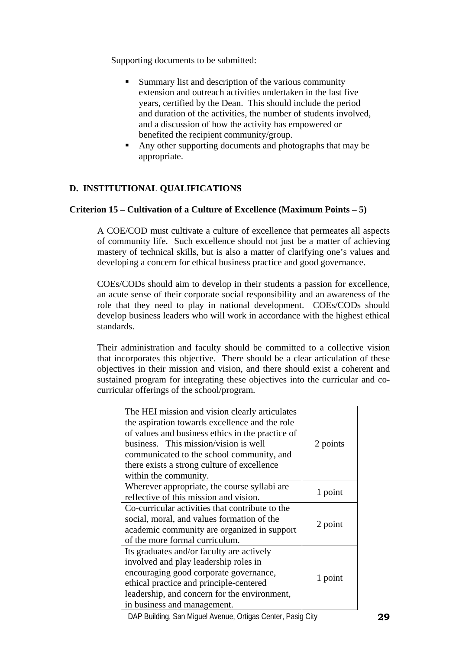- Summary list and description of the various community extension and outreach activities undertaken in the last five years, certified by the Dean. This should include the period and duration of the activities, the number of students involved, and a discussion of how the activity has empowered or benefited the recipient community/group.
- Any other supporting documents and photographs that may be appropriate.

# **D. INSTITUTIONAL QUALIFICATIONS**

## **Criterion 15 – Cultivation of a Culture of Excellence (Maximum Points – 5)**

A COE/COD must cultivate a culture of excellence that permeates all aspects of community life. Such excellence should not just be a matter of achieving mastery of technical skills, but is also a matter of clarifying one's values and developing a concern for ethical business practice and good governance.

COEs/CODs should aim to develop in their students a passion for excellence, an acute sense of their corporate social responsibility and an awareness of the role that they need to play in national development. COEs/CODs should develop business leaders who will work in accordance with the highest ethical standards.

Their administration and faculty should be committed to a collective vision that incorporates this objective. There should be a clear articulation of these objectives in their mission and vision, and there should exist a coherent and sustained program for integrating these objectives into the curricular and cocurricular offerings of the school/program.

| The HEI mission and vision clearly articulates<br>the aspiration towards excellence and the role<br>of values and business ethics in the practice of<br>business. This mission/vision is well<br>communicated to the school community, and<br>there exists a strong culture of excellence<br>within the community. | 2 points |
|--------------------------------------------------------------------------------------------------------------------------------------------------------------------------------------------------------------------------------------------------------------------------------------------------------------------|----------|
| Wherever appropriate, the course syllabi are.<br>reflective of this mission and vision.                                                                                                                                                                                                                            | 1 point  |
| Co-curricular activities that contribute to the<br>social, moral, and values formation of the<br>academic community are organized in support<br>of the more formal curriculum.                                                                                                                                     | 2 point  |
| Its graduates and/or faculty are actively<br>involved and play leadership roles in<br>encouraging good corporate governance,<br>ethical practice and principle-centered<br>leadership, and concern for the environment,<br>in business and management.                                                             | 1 point  |

DAP Building, San Miguel Avenue, Ortigas Center, Pasig City **29**